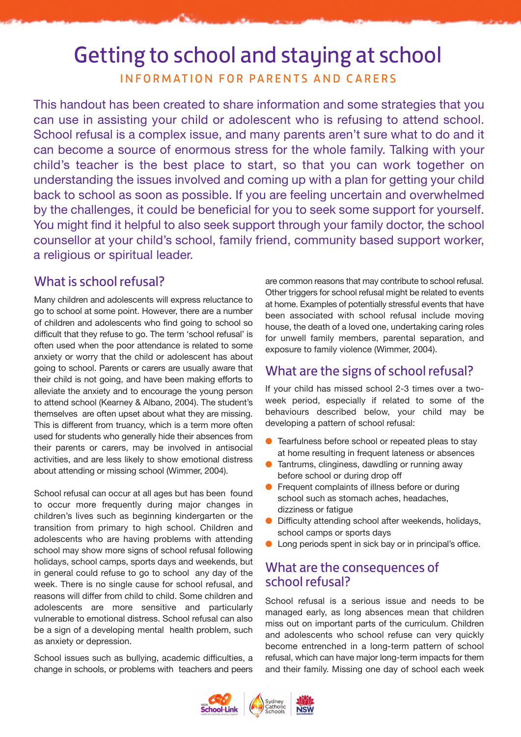# Getting to school and staying at school

INFORMATION FOR PARENTS AND CARERS

This handout has been created to share information and some strategies that you can use in assisting your child or adolescent who is refusing to attend school. School refusal is a complex issue, and many parents aren't sure what to do and it can become a source of enormous stress for the whole family. Talking with your child's teacher is the best place to start, so that you can work together on understanding the issues involved and coming up with a plan for getting your child back to school as soon as possible. If you are feeling uncertain and overwhelmed by the challenges, it could be beneficial for you to seek some support for yourself. You might find it helpful to also seek support through your family doctor, the school counsellor at your child's school, family friend, community based support worker, a religious or spiritual leader.

# What is school refusal?

Many children and adolescents will express reluctance to go to school at some point. However, there are a number of children and adolescents who find going to school so difficult that they refuse to go. The term 'school refusal' is often used when the poor attendance is related to some anxiety or worry that the child or adolescent has about going to school. Parents or carers are usually aware that their child is not going, and have been making efforts to alleviate the anxiety and to encourage the young person to attend school (Kearney & Albano, 2004). The student's themselves are often upset about what they are missing. This is different from truancy, which is a term more often used for students who generally hide their absences from their parents or carers, may be involved in antisocial activities, and are less likely to show emotional distress about attending or missing school (Wimmer, 2004).

School refusal can occur at all ages but has been found to occur more frequently during major changes in children's lives such as beginning kindergarten or the transition from primary to high school. Children and adolescents who are having problems with attending school may show more signs of school refusal following holidays, school camps, sports days and weekends, but in general could refuse to go to school any day of the week. There is no single cause for school refusal, and reasons will differ from child to child. Some children and adolescents are more sensitive and particularly vulnerable to emotional distress. School refusal can also be a sign of a developing mental health problem, such as anxiety or depression.

School issues such as bullying, academic difficulties, a change in schools, or problems with teachers and peers are common reasons that may contribute to school refusal. Other triggers for school refusal might be related to events at home. Examples of potentially stressful events that have been associated with school refusal include moving house, the death of a loved one, undertaking caring roles for unwell family members, parental separation, and exposure to family violence (Wimmer, 2004).

# What are the signs of school refusal?

If your child has missed school 2-3 times over a twoweek period, especially if related to some of the behaviours described below, your child may be developing a pattern of school refusal:

- **C** Tearfulness before school or repeated pleas to stay at home resulting in frequent lateness or absences
- **Tantrums, clinginess, dawdling or running away** before school or during drop off
- **•** Frequent complaints of illness before or during school such as stomach aches, headaches, dizziness or fatigue
- **O** Difficulty attending school after weekends, holidays, school camps or sports days
- **lack** Long periods spent in sick bay or in principal's office.

# What are the consequences of school refusal?

School refusal is a serious issue and needs to be managed early, as long absences mean that children miss out on important parts of the curriculum. Children and adolescents who school refuse can very quickly become entrenched in a long-term pattern of school refusal, which can have major long-term impacts for them and their family. Missing one day of school each week

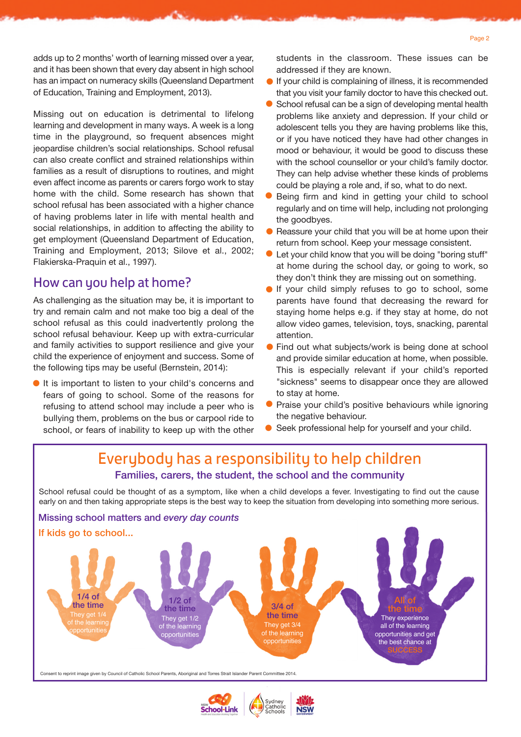adds up to 2 months' worth of learning missed over a year, and it has been shown that every day absent in high school has an impact on numeracy skills (Queensland Department of Education, Training and Employment, 2013).

Missing out on education is detrimental to lifelong learning and development in many ways. A week is a long time in the playground, so frequent absences might jeopardise children's social relationships. School refusal can also create conflict and strained relationships within families as a result of disruptions to routines, and might even affect income as parents or carers forgo work to stay home with the child. Some research has shown that school refusal has been associated with a higher chance of having problems later in life with mental health and social relationships, in addition to affecting the ability to get employment (Queensland Department of Education, Training and Employment, 2013; Silove et al., 2002; Flakierska-Praquin et al., 1997).

### How can you help at home?

As challenging as the situation may be, it is important to try and remain calm and not make too big a deal of the school refusal as this could inadvertently prolong the school refusal behaviour. Keep up with extra-curricular and family activities to support resilience and give your child the experience of enjoyment and success. Some of the following tips may be useful (Bernstein, 2014):

It is important to listen to your child's concerns and fears of going to school. Some of the reasons for refusing to attend school may include a peer who is bullying them, problems on the bus or carpool ride to school, or fears of inability to keep up with the other students in the classroom. These issues can be addressed if they are known.

- If your child is complaining of illness, it is recommended that you visit your family doctor to have this checked out.  $\bullet$
- School refusal can be a sign of developing mental health problems like anxiety and depression. If your child or adolescent tells you they are having problems like this, or if you have noticed they have had other changes in mood or behaviour, it would be good to discuss these with the school counsellor or your child's family doctor. They can help advise whether these kinds of problems could be playing a role and, if so, what to do next.
- Being firm and kind in getting your child to school regularly and on time will help, including not prolonging the goodbyes.  $\bullet$
- Reassure your child that you will be at home upon their l return from school. Keep your message consistent.
- Let your child know that you will be doing "boring stuff" at home during the school day, or going to work, so they don't think they are missing out on something.  $\bullet$
- **If your child simply refuses to go to school, some** parents have found that decreasing the reward for staying home helps e.g. if they stay at home, do not allow video games, television, toys, snacking, parental attention.
- Find out what subjects/work is being done at school and provide similar education at home, when possible. This is especially relevant if your child's reported "sickness" seems to disappear once they are allowed to stay at home. l
- Praise your child's positive behaviours while ignoring the negative behaviour.  $\bullet$
- Seek professional help for yourself and your child.

# Everybody has a responsibility to help children Families, carers, the student, the school and the community

School refusal could be thought of as a symptom, like when a child develops a fever. Investigating to find out the cause early on and then taking appropriate steps is the best way to keep the situation from developing into something more serious.

#### Missing school matters and *every day counts*



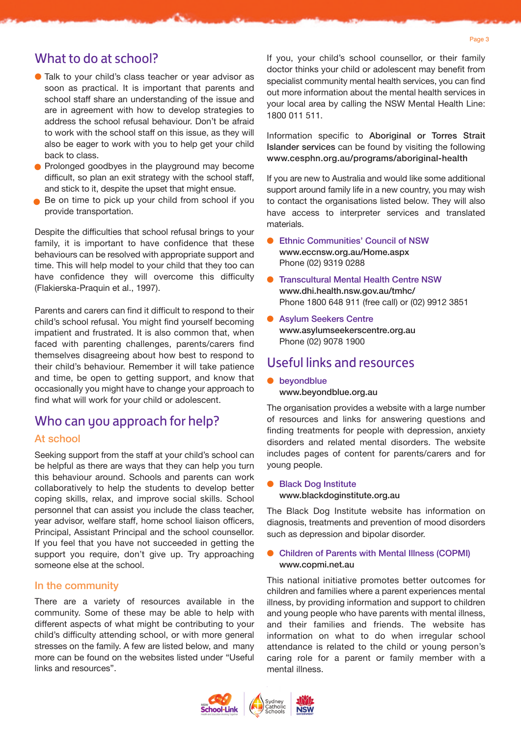### What to do at school?

- Talk to your child's class teacher or year advisor as l soon as practical. It is important that parents and school staff share an understanding of the issue and are in agreement with how to develop strategies to address the school refusal behaviour. Don't be afraid to work with the school staff on this issue, as they will also be eager to work with you to help get your child back to class.
- **•** Prolonged goodbyes in the playground may become difficult, so plan an exit strategy with the school staff, and stick to it, despite the upset that might ensue.
- Be on time to pick up your child from school if you provide transportation.

Despite the difficulties that school refusal brings to your family, it is important to have confidence that these behaviours can be resolved with appropriate support and time. This will help model to your child that they too can have confidence they will overcome this difficulty (Flakierska-Praquin et al., 1997).

Parents and carers can find it difficult to respond to their child's school refusal. You might find yourself becoming impatient and frustrated. It is also common that, when faced with parenting challenges, parents/carers find themselves disagreeing about how best to respond to their child's behaviour. Remember it will take patience and time, be open to getting support, and know that occasionally you might have to change your approach to find what will work for your child or adolescent.

### Who can you approach for help?

### At school

Seeking support from the staff at your child's school can be helpful as there are ways that they can help you turn this behaviour around. Schools and parents can work collaboratively to help the students to develop better coping skills, relax, and improve social skills. School personnel that can assist you include the class teacher, year advisor, welfare staff, home school liaison officers, Principal, Assistant Principal and the school counsellor. If you feel that you have not succeeded in getting the support you require, don't give up. Try approaching someone else at the school.

#### In the community

There are a variety of resources available in the community. Some of these may be able to help with different aspects of what might be contributing to your child's difficulty attending school, or with more general stresses on the family. A few are listed below, and many more can be found on the websites listed under "Useful links and resources".

If you, your child's school counsellor, or their family doctor thinks your child or adolescent may benefit from specialist community mental health services, you can find out more information about the mental health services in your local area by calling the NSW Mental Health Line: 1800 011 511.

Information specific to Aboriginal or Torres Strait Islander services can be found by visiting the following www.cesphn.org.au/programs/aboriginal-health

If you are new to Australia and would like some additional support around family life in a new country, you may wish to contact the organisations listed below. They will also have access to interpreter services and translated materials.

- Ethnic Communities' Council of NSW www.eccnsw.org.au/Home.aspx Phone (02) 9319 0288
- **Transcultural Mental Health Centre NSW** www.dhi.health.nsw.gov.au/tmhc/ Phone 1800 648 911 (free call) or (02) 9912 3851
- **Asylum Seekers Centre** www.asylumseekerscentre.org.au Phone (02) 9078 1900

### Useful links and resources

**•** beyondblue www.beyondblue.org.au

The organisation provides a website with a large number of resources and links for answering questions and finding treatments for people with depression, anxiety disorders and related mental disorders. The website includes pages of content for parents/carers and for young people.

### ● Black Dog Institute www.blackdoginstitute.org.au

The Black Dog Institute website has information on diagnosis, treatments and prevention of mood disorders such as depression and bipolar disorder.

#### **• Children of Parents with Mental Illness (COPMI)** www.copmi.net.au

This national initiative promotes better outcomes for children and families where a parent experiences mental illness, by providing information and support to children and young people who have parents with mental illness, and their families and friends. The website has information on what to do when irregular school attendance is related to the child or young person's caring role for a parent or family member with a mental illness.